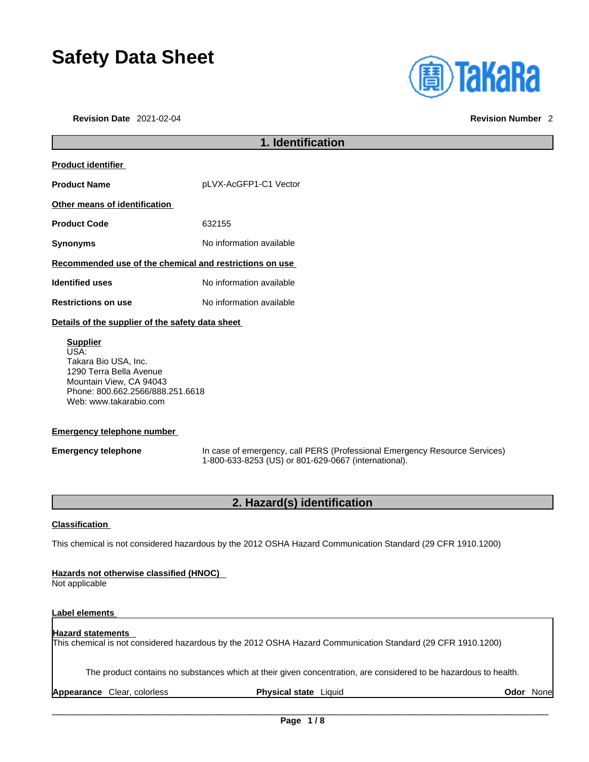# **Safety Data Sheet**

**Revision Date** 2021-02-04 **Revision Number** 2



## **1. Identification Product identifier Product Name** pLVX-AcGFP1-C1 Vector **Other means of identification Product Code** 632155 **Synonyms** No information available **Recommended use of the chemical and restrictions on use Identified uses** No information available **Restrictions on use** No information available **Details of the supplier of the safety data sheet Supplier** USA: Takara Bio USA, Inc. 1290 Terra Bella Avenue

Mountain View, CA 94043 Phone: 800.662.2566/888.251.6618 Web: www.takarabio.com

### **Emergency telephone number**

**Emergency telephone** In case of emergency, call PERS (Professional Emergency Resource Services) 1-800-633-8253 (US) or 801-629-0667 (international).

### **2. Hazard(s) identification**

### **Classification**

This chemical is not considered hazardous by the 2012 OSHA Hazard Communication Standard (29 CFR 1910.1200)

### **Hazards not otherwise classified (HNOC)**

Not applicable

### **Label elements**

#### **Hazard statements**  This chemical is not considered hazardous by the 2012 OSHA Hazard Communication Standard (29 CFR 1910.1200)

The product contains no substances which at their given concentration, are considered to be hazardous to health.

**Appearance** Clear, colorless **Physical state** Liquid **Odor** None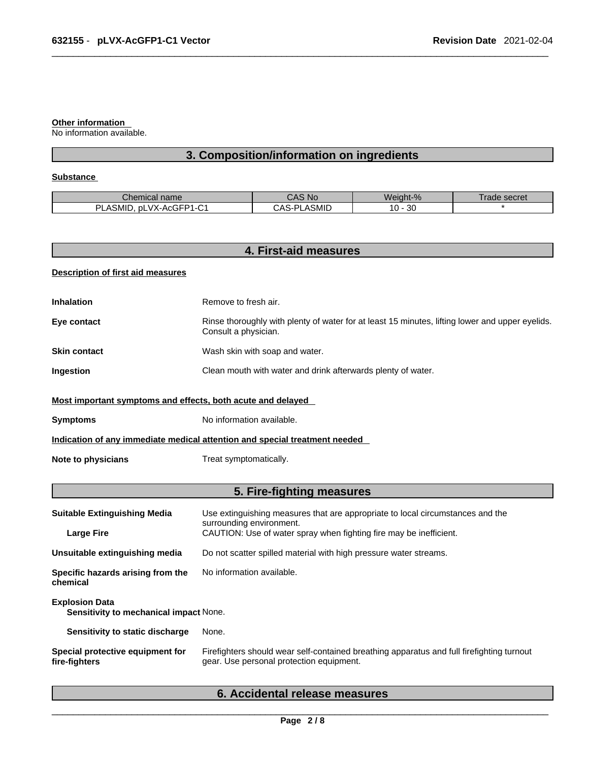#### **Other information**

No information available.

## **3. Composition/information on ingredients**

### **Substance**

| name<br>Tiltidi                                                           | <b>NC</b>                   | Weight-%        | secret<br>้ลด |
|---------------------------------------------------------------------------|-----------------------------|-----------------|---------------|
| $\sim$<br>$\cdots$<br>וח<br>.<br>… VX-Ac⊆"<br>nL<br>ASIVIIL<br>……∽⊢⊷<br>◡ | SMID<br>ົ\ດ<br>$\sim$<br>וכ | n o<br>10<br>υc |               |

| <b>Description of first aid measures</b><br><b>Inhalation</b><br>Eye contact<br><b>Skin contact</b> | Remove to fresh air.<br>Rinse thoroughly with plenty of water for at least 15 minutes, lifting lower and upper eyelids.<br>Consult a physician. |
|-----------------------------------------------------------------------------------------------------|-------------------------------------------------------------------------------------------------------------------------------------------------|
|                                                                                                     |                                                                                                                                                 |
|                                                                                                     |                                                                                                                                                 |
|                                                                                                     |                                                                                                                                                 |
|                                                                                                     | Wash skin with soap and water.                                                                                                                  |
| Ingestion                                                                                           | Clean mouth with water and drink afterwards plenty of water.                                                                                    |
| Most important symptoms and effects, both acute and delayed                                         |                                                                                                                                                 |
| <b>Symptoms</b>                                                                                     | No information available.                                                                                                                       |
|                                                                                                     | Indication of any immediate medical attention and special treatment needed                                                                      |
| <b>Note to physicians</b>                                                                           | Treat symptomatically.                                                                                                                          |
|                                                                                                     | 5. Fire-fighting measures                                                                                                                       |
| <b>Suitable Extinguishing Media</b>                                                                 | Use extinguishing measures that are appropriate to local circumstances and the<br>surrounding environment.                                      |
| <b>Large Fire</b>                                                                                   | CAUTION: Use of water spray when fighting fire may be inefficient.                                                                              |
| Unsuitable extinguishing media                                                                      | Do not scatter spilled material with high pressure water streams.                                                                               |
| Specific hazards arising from the<br>chemical                                                       | No information available.                                                                                                                       |
| <b>Explosion Data</b><br>Sensitivity to mechanical impact None.                                     |                                                                                                                                                 |
| Sensitivity to static discharge                                                                     | None.                                                                                                                                           |
| Special protective equipment for<br>fire-fighters                                                   | Firefighters should wear self-contained breathing apparatus and full firefighting turnout<br>gear. Use personal protection equipment.           |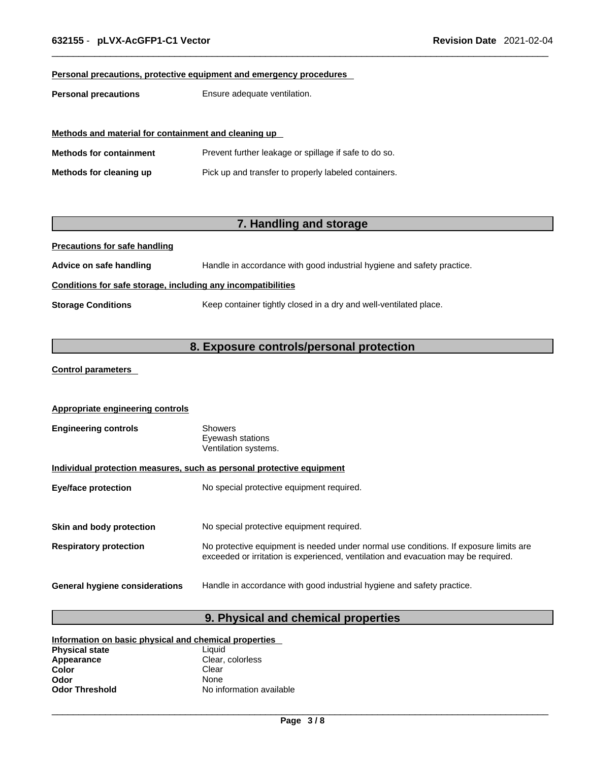### **Personal precautions, protective equipment and emergency procedures**

**Personal precautions** Ensure adequate ventilation.

|                                | Methods and material for containment and cleaning up  |  |  |
|--------------------------------|-------------------------------------------------------|--|--|
| <b>Methods for containment</b> | Prevent further leakage or spillage if safe to do so. |  |  |
| Methods for cleaning up        | Pick up and transfer to properly labeled containers.  |  |  |

### **7. Handling and storage**

**Precautions for safe handling**

**Advice on safe handling** Handle in accordance with good industrial hygiene and safety practice.

### **Conditions for safe storage, including any incompatibilities**

**Storage Conditions** Keep container tightly closed in a dry and well-ventilated place.

### **8. Exposure controls/personal protection**

### **Control parameters**

| <b>Appropriate engineering controls</b>                               |                                                                                                                                                                             |  |
|-----------------------------------------------------------------------|-----------------------------------------------------------------------------------------------------------------------------------------------------------------------------|--|
| <b>Engineering controls</b>                                           | Showers<br>Eyewash stations<br>Ventilation systems.                                                                                                                         |  |
| Individual protection measures, such as personal protective equipment |                                                                                                                                                                             |  |
| <b>Eye/face protection</b>                                            | No special protective equipment required.                                                                                                                                   |  |
|                                                                       |                                                                                                                                                                             |  |
| Skin and body protection                                              | No special protective equipment required.                                                                                                                                   |  |
| <b>Respiratory protection</b>                                         | No protective equipment is needed under normal use conditions. If exposure limits are<br>exceeded or irritation is experienced, ventilation and evacuation may be required. |  |
| General hygiene considerations                                        | Handle in accordance with good industrial hygiene and safety practice.                                                                                                      |  |

### **9. Physical and chemical properties**

| Information on basic physical and chemical properties |                          |  |
|-------------------------------------------------------|--------------------------|--|
| <b>Physical state</b>                                 | Liauid                   |  |
| Appearance                                            | Clear, colorless         |  |
| Color                                                 | Clear                    |  |
| Odor                                                  | <b>None</b>              |  |
| <b>Odor Threshold</b>                                 | No information available |  |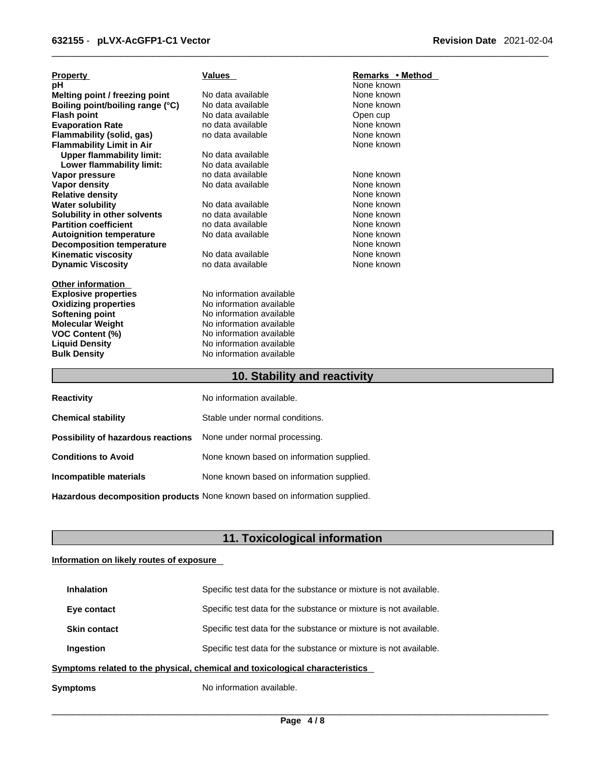| <b>Property</b>                  | Values                   | Remarks • Method |
|----------------------------------|--------------------------|------------------|
| pH                               |                          | None known       |
| Melting point / freezing point   | No data available        | None known       |
| Boiling point/boiling range (°C) | No data available        | None known       |
| <b>Flash point</b>               | No data available        | Open cup         |
| <b>Evaporation Rate</b>          | no data available        | None known       |
| Flammability (solid, gas)        | no data available        | None known       |
| <b>Flammability Limit in Air</b> |                          | None known       |
| <b>Upper flammability limit:</b> | No data available        |                  |
| Lower flammability limit:        | No data available        |                  |
| Vapor pressure                   | no data available        | None known       |
| Vapor density                    | No data available        | None known       |
| <b>Relative density</b>          |                          | None known       |
| <b>Water solubility</b>          | No data available        | None known       |
| Solubility in other solvents     | no data available        | None known       |
| <b>Partition coefficient</b>     | no data available        | None known       |
| <b>Autoignition temperature</b>  | No data available        | None known       |
| <b>Decomposition temperature</b> |                          | None known       |
| <b>Kinematic viscosity</b>       | No data available        | None known       |
| <b>Dynamic Viscosity</b>         | no data available        | None known       |
| <b>Other information</b>         |                          |                  |
| <b>Explosive properties</b>      | No information available |                  |
| <b>Oxidizing properties</b>      | No information available |                  |
| <b>Softening point</b>           | No information available |                  |
| <b>Molecular Weight</b>          | No information available |                  |
| <b>VOC Content (%)</b>           | No information available |                  |
| <b>Liquid Density</b>            | No information available |                  |
| <b>Bulk Density</b>              | No information available |                  |
| 10. Stability and reactivity     |                          |                  |

| No information available. |
|---------------------------|
|                           |

| <b>Chemical stability</b>                                               | Stable under normal conditions.           |
|-------------------------------------------------------------------------|-------------------------------------------|
| <b>Possibility of hazardous reactions</b> None under normal processing. |                                           |
| <b>Conditions to Avoid</b>                                              | None known based on information supplied. |
| Incompatible materials                                                  | None known based on information supplied. |
|                                                                         |                                           |

**Hazardous decomposition products** None known based on information supplied.

## **11. Toxicological information**

### **Information on likely routes of exposure**

**Reactivity** 

| Symptoms                                                                     | No information available.                                         |
|------------------------------------------------------------------------------|-------------------------------------------------------------------|
| Symptoms related to the physical, chemical and toxicological characteristics |                                                                   |
| Ingestion                                                                    | Specific test data for the substance or mixture is not available. |
| <b>Skin contact</b>                                                          | Specific test data for the substance or mixture is not available. |
| Eye contact                                                                  | Specific test data for the substance or mixture is not available. |
| <b>Inhalation</b>                                                            | Specific test data for the substance or mixture is not available. |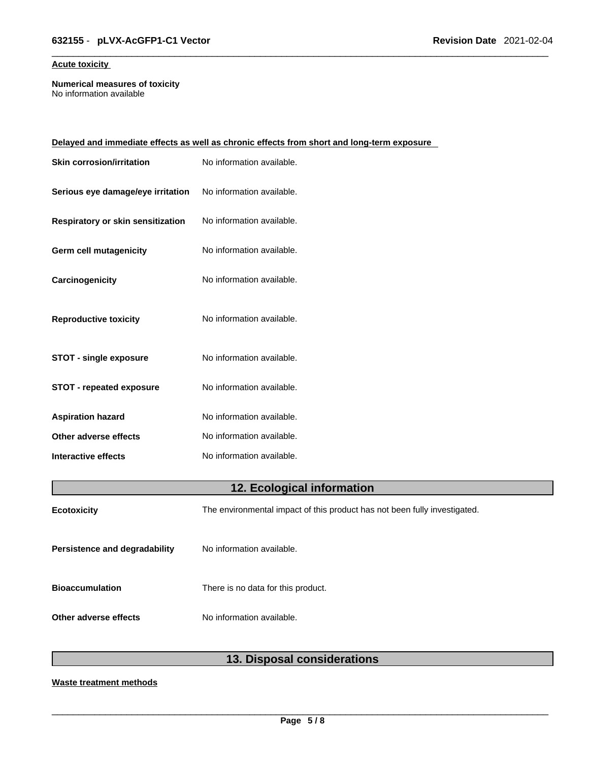### **Acute toxicity**

**Numerical measures of toxicity** No information available

|                                   | Delayed and immediate effects as well as chronic effects from short and long-term exposure |
|-----------------------------------|--------------------------------------------------------------------------------------------|
| <b>Skin corrosion/irritation</b>  | No information available.                                                                  |
| Serious eye damage/eye irritation | No information available.                                                                  |
| Respiratory or skin sensitization | No information available.                                                                  |
| <b>Germ cell mutagenicity</b>     | No information available.                                                                  |
| Carcinogenicity                   | No information available.                                                                  |
| <b>Reproductive toxicity</b>      | No information available.                                                                  |
| <b>STOT - single exposure</b>     | No information available.                                                                  |
| <b>STOT - repeated exposure</b>   | No information available.                                                                  |
| <b>Aspiration hazard</b>          | No information available.                                                                  |
| Other adverse effects             | No information available.                                                                  |
| Interactive effects               | No information available.                                                                  |
|                                   |                                                                                            |

## **12. Ecological information**

| <b>Ecotoxicity</b>                   | The environmental impact of this product has not been fully investigated. |
|--------------------------------------|---------------------------------------------------------------------------|
| <b>Persistence and degradability</b> | No information available.                                                 |
| <b>Bioaccumulation</b>               | There is no data for this product.                                        |
| Other adverse effects                | No information available.                                                 |

## **13. Disposal considerations**

### **Waste treatment methods**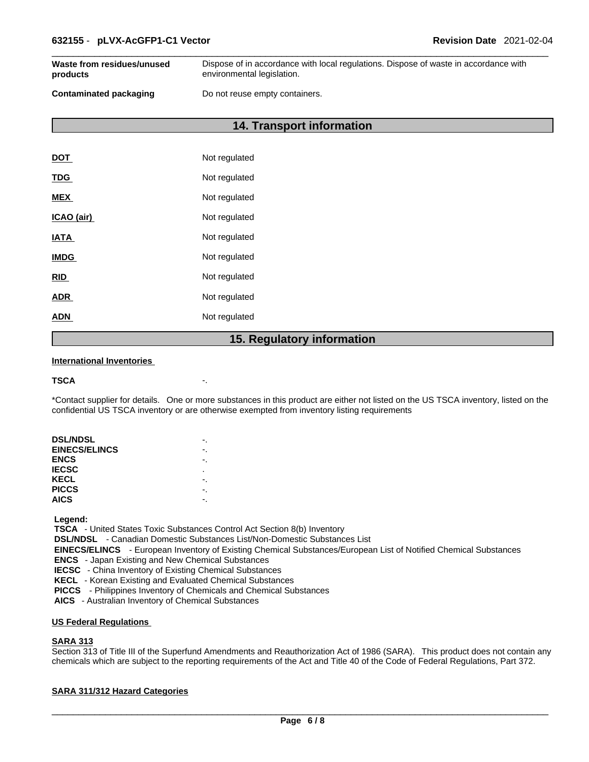| Waste from residues/unused    | Dispose of in accordance with local regulations. Dispose of waste in accordance with |
|-------------------------------|--------------------------------------------------------------------------------------|
| products                      | environmental legislation.                                                           |
| <b>Contaminated packaging</b> | Do not reuse empty containers.                                                       |

**14. Transport information** 

| DOT         | Not regulated |
|-------------|---------------|
| <b>TDG</b>  | Not regulated |
| <b>MEX</b>  | Not regulated |
| ICAO (air)  | Not regulated |
| <b>IATA</b> | Not regulated |
| <b>IMDG</b> | Not regulated |
| <b>RID</b>  | Not regulated |
| <b>ADR</b>  | Not regulated |
| ADN         | Not regulated |
|             |               |

### **15. Regulatory information**

### **International Inventories**

```
TSCA -.
```
\*Contact supplier for details. One or more substances in this product are either not listed on the US TSCA inventory, listed on the confidential US TSCA inventory or are otherwise exempted from inventory listing requirements

| <b>DSL/NDSL</b>      |   |
|----------------------|---|
| <b>EINECS/ELINCS</b> |   |
| <b>ENCS</b>          |   |
| <b>IECSC</b>         | ٠ |
| KECL                 |   |
| <b>PICCS</b>         |   |
| <b>AICS</b>          |   |
|                      |   |

 **Legend:** 

 **TSCA** - United States Toxic Substances Control Act Section 8(b) Inventory

 **DSL/NDSL** - Canadian Domestic Substances List/Non-Domestic Substances List

 **EINECS/ELINCS** - European Inventory of Existing Chemical Substances/European List of Notified Chemical Substances

 **ENCS** - Japan Existing and New Chemical Substances

 **IECSC** - China Inventory of Existing Chemical Substances

 **KECL** - Korean Existing and Evaluated Chemical Substances

 **PICCS** - Philippines Inventory of Chemicals and Chemical Substances

 **AICS** - Australian Inventory of Chemical Substances

### **US Federal Regulations**

### **SARA 313**

Section 313 of Title III of the Superfund Amendments and Reauthorization Act of 1986 (SARA). This product does not contain any chemicals which are subject to the reporting requirements of the Act and Title 40 of the Code of Federal Regulations, Part 372.

### **SARA 311/312 Hazard Categories**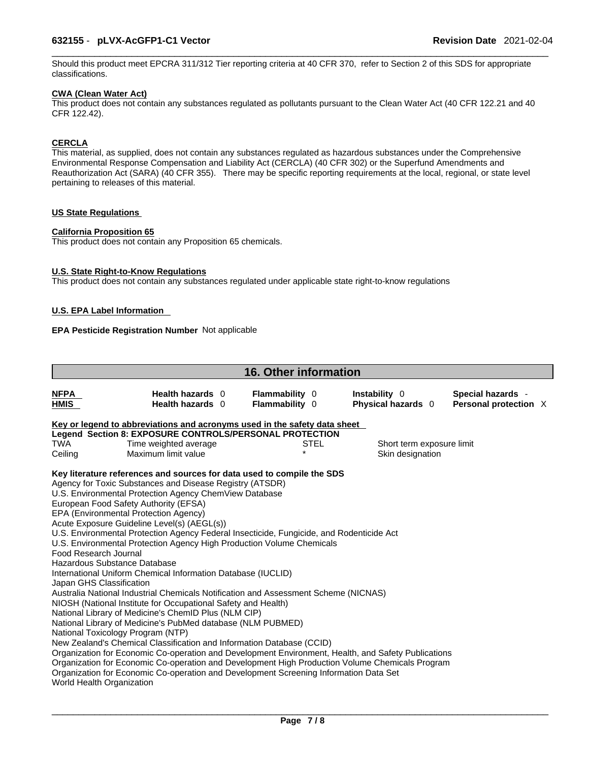Should this product meet EPCRA 311/312 Tier reporting criteria at 40 CFR 370, refer to Section 2 of this SDS for appropriate classifications.

### **CWA (Clean WaterAct)**

This product does not contain any substances regulated as pollutants pursuant to the Clean Water Act (40 CFR 122.21 and 40 CFR 122.42).

### **CERCLA**

This material, as supplied, does not contain any substances regulated as hazardous substances under the Comprehensive Environmental Response Compensation and Liability Act (CERCLA) (40 CFR 302) or the Superfund Amendments and Reauthorization Act (SARA) (40 CFR 355). There may be specific reporting requirements at the local, regional, or state level pertaining to releases of this material.

### **US State Regulations**

### **California Proposition 65**

This product does not contain any Proposition 65 chemicals.

### **U.S. State Right-to-Know Regulations**

This product does not contain any substances regulated under applicable state right-to-know regulations

### **U.S. EPA Label Information**

### **EPA Pesticide Registration Number** Not applicable

|                            |                                                                                                     | 16. Other information                   |             |                                     |                   |                       |  |
|----------------------------|-----------------------------------------------------------------------------------------------------|-----------------------------------------|-------------|-------------------------------------|-------------------|-----------------------|--|
| <b>NFPA</b><br><b>HMIS</b> | Health hazards 0<br>Health hazards 0                                                                | <b>Flammability 0</b><br>Flammability 0 |             | Instability 0<br>Physical hazards 0 | Special hazards - | Personal protection X |  |
|                            | Key or legend to abbreviations and acronyms used in the safety data sheet                           |                                         |             |                                     |                   |                       |  |
|                            | Legend Section 8: EXPOSURE CONTROLS/PERSONAL PROTECTION                                             |                                         |             |                                     |                   |                       |  |
| TWA                        | Time weighted average                                                                               |                                         | <b>STEL</b> | Short term exposure limit           |                   |                       |  |
| Ceiling                    | Maximum limit value                                                                                 | $\star$                                 |             | Skin designation                    |                   |                       |  |
|                            | Key literature references and sources for data used to compile the SDS                              |                                         |             |                                     |                   |                       |  |
|                            | Agency for Toxic Substances and Disease Registry (ATSDR)                                            |                                         |             |                                     |                   |                       |  |
|                            | U.S. Environmental Protection Agency ChemView Database                                              |                                         |             |                                     |                   |                       |  |
|                            | European Food Safety Authority (EFSA)                                                               |                                         |             |                                     |                   |                       |  |
|                            | EPA (Environmental Protection Agency)                                                               |                                         |             |                                     |                   |                       |  |
|                            | Acute Exposure Guideline Level(s) (AEGL(s))                                                         |                                         |             |                                     |                   |                       |  |
|                            | U.S. Environmental Protection Agency Federal Insecticide, Fungicide, and Rodenticide Act            |                                         |             |                                     |                   |                       |  |
|                            | U.S. Environmental Protection Agency High Production Volume Chemicals                               |                                         |             |                                     |                   |                       |  |
| Food Research Journal      |                                                                                                     |                                         |             |                                     |                   |                       |  |
|                            | Hazardous Substance Database                                                                        |                                         |             |                                     |                   |                       |  |
|                            | International Uniform Chemical Information Database (IUCLID)                                        |                                         |             |                                     |                   |                       |  |
| Japan GHS Classification   |                                                                                                     |                                         |             |                                     |                   |                       |  |
|                            | Australia National Industrial Chemicals Notification and Assessment Scheme (NICNAS)                 |                                         |             |                                     |                   |                       |  |
|                            | NIOSH (National Institute for Occupational Safety and Health)                                       |                                         |             |                                     |                   |                       |  |
|                            | National Library of Medicine's ChemID Plus (NLM CIP)                                                |                                         |             |                                     |                   |                       |  |
|                            | National Library of Medicine's PubMed database (NLM PUBMED)                                         |                                         |             |                                     |                   |                       |  |
|                            | National Toxicology Program (NTP)                                                                   |                                         |             |                                     |                   |                       |  |
|                            | New Zealand's Chemical Classification and Information Database (CCID)                               |                                         |             |                                     |                   |                       |  |
|                            | Organization for Economic Co-operation and Development Environment, Health, and Safety Publications |                                         |             |                                     |                   |                       |  |
|                            | Organization for Economic Co-operation and Development High Production Volume Chemicals Program     |                                         |             |                                     |                   |                       |  |
|                            | Organization for Economic Co-operation and Development Screening Information Data Set               |                                         |             |                                     |                   |                       |  |
|                            | World Health Organization                                                                           |                                         |             |                                     |                   |                       |  |